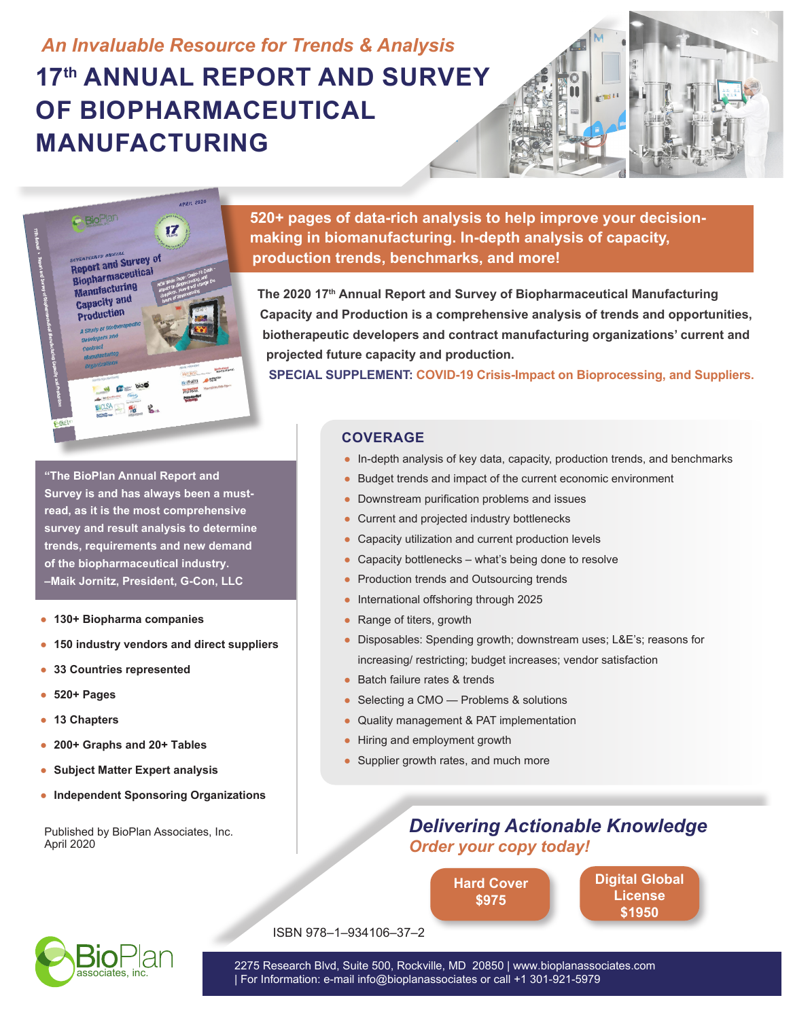# *An Invaluable Resource for Trends & Analysis* **17th ANNUAL REPORT AND SURVEY OF BIOPHARMACEUTICAL MANUFACTURING**





**520+ pages of data-rich analysis to help improve your decisionmaking in biomanufacturing. In-depth analysis of capacity, production trends, benchmarks, and more!**

**The 2020 17th Annual Report and Survey of Biopharmaceutical Manufacturing Capacity and Production is a comprehensive analysis of trends and opportunities, biotherapeutic developers and contract manufacturing organizations' current and projected future capacity and production.** 

**SPECIAL SUPPLEMENT: COVID-19 Crisis-Impact on Bioprocessing, and Suppliers.**

**"The BioPlan Annual Report and Survey is and has always been a mustread, as it is the most comprehensive survey and result analysis to determine trends, requirements and new demand of the biopharmaceutical industry. –Maik Jornitz, President, G-Con, LLC**

- **130+ Biopharma companies**
- **150 industry vendors and direct suppliers**
- **33 Countries represented**
- **520+ Pages**
- **13 Chapters**
- **200+ Graphs and 20+ Tables**
- **Subject Matter Expert analysis**
- **Independent Sponsoring Organizations**

Published by BioPlan Associates, Inc. April 2020

#### **COVERAGE**

- In-depth analysis of key data, capacity, production trends, and benchmarks
- Budget trends and impact of the current economic environment
- Downstream purification problems and issues
- Current and projected industry bottlenecks
- Capacity utilization and current production levels
- Capacity bottlenecks what's being done to resolve
- Production trends and Outsourcing trends
- International offshoring through 2025
- Range of titers, growth
- Disposables: Spending growth; downstream uses; L&E's; reasons for increasing/ restricting; budget increases; vendor satisfaction
- Batch failure rates & trends
- Selecting a CMO Problems & solutions
- Quality management & PAT implementation
- Hiring and employment growth
- Supplier growth rates, and much more

## *Delivering Actionable Knowledge Order your copy today!*

**[Hard Cover](https://secure.ultracart.com/cgi-bin/UCEditor?merchantId=BIOPL&ADD=978-1-934106-37-2) \$975**

**[Digital Global](https://secure.ultracart.com/cgi-bin/UCEditor?merchantId=BIOPL&ADD=978-1-934106-37-2-E) License \$1950**



ISBN 978–1–934106–37–2

2275 Research Blvd, Suite 500, Rockville, MD 20850 | www.bioplanassociates.com | For Information: e-mail info@bioplanassociates or call +1 301-921-5979